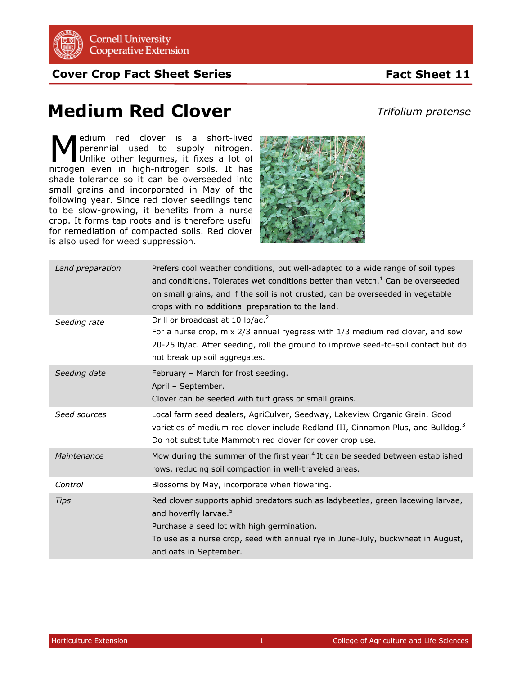

**Cover Crop Fact Sheet Series**

## **Fact Sheet 11**

## **Medium Red Clover**

*Trifolium pratense*

edium red clover is a short-lived perennial used to supply nitrogen. Unlike other legumes, it fixes a lot of **M** edium red clover is a short-lived perennial used to supply nitrogen.<br>
Unlike other legumes, it fixes a lot of nitrogen even in high-nitrogen soils. It has shade tolerance so it can be overseeded into small grains and incorporated in May of the following year. Since red clover seedlings tend to be slow-growing, it benefits from a nurse crop. It forms tap roots and is therefore useful for remediation of compacted soils. Red clover is also used for weed suppression.



| Land preparation | Prefers cool weather conditions, but well-adapted to a wide range of soil types<br>and conditions. Tolerates wet conditions better than vetch. <sup>1</sup> Can be overseeded<br>on small grains, and if the soil is not crusted, can be overseeded in vegetable<br>crops with no additional preparation to the land. |
|------------------|-----------------------------------------------------------------------------------------------------------------------------------------------------------------------------------------------------------------------------------------------------------------------------------------------------------------------|
| Seeding rate     | Drill or broadcast at 10 lb/ac. <sup>2</sup><br>For a nurse crop, mix 2/3 annual ryegrass with 1/3 medium red clover, and sow<br>20-25 lb/ac. After seeding, roll the ground to improve seed-to-soil contact but do<br>not break up soil aggregates.                                                                  |
| Seeding date     | February - March for frost seeding.<br>April - September.<br>Clover can be seeded with turf grass or small grains.                                                                                                                                                                                                    |
| Seed sources     | Local farm seed dealers, AgriCulver, Seedway, Lakeview Organic Grain. Good<br>varieties of medium red clover include Redland III, Cinnamon Plus, and Bulldog. <sup>3</sup><br>Do not substitute Mammoth red clover for cover crop use.                                                                                |
| Maintenance      | Mow during the summer of the first year. <sup>4</sup> It can be seeded between established<br>rows, reducing soil compaction in well-traveled areas.                                                                                                                                                                  |
| Control          | Blossoms by May, incorporate when flowering.                                                                                                                                                                                                                                                                          |
| <b>Tips</b>      | Red clover supports aphid predators such as ladybeetles, green lacewing larvae,<br>and hoverfly larvae. <sup>5</sup><br>Purchase a seed lot with high germination.<br>To use as a nurse crop, seed with annual rye in June-July, buckwheat in August,<br>and oats in September.                                       |